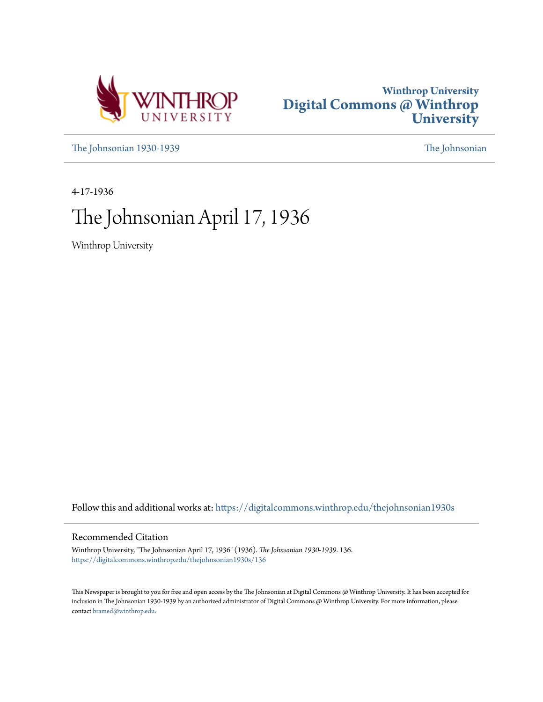



[The Johnsonian 1930-1939](https://digitalcommons.winthrop.edu/thejohnsonian1930s?utm_source=digitalcommons.winthrop.edu%2Fthejohnsonian1930s%2F136&utm_medium=PDF&utm_campaign=PDFCoverPages) [The Johnsonian](https://digitalcommons.winthrop.edu/thejohnsonian_newspaper?utm_source=digitalcommons.winthrop.edu%2Fthejohnsonian1930s%2F136&utm_medium=PDF&utm_campaign=PDFCoverPages)

4-17-1936

# The Johnsonian April 17, 1936

Winthrop University

Follow this and additional works at: [https://digitalcommons.winthrop.edu/thejohnsonian1930s](https://digitalcommons.winthrop.edu/thejohnsonian1930s?utm_source=digitalcommons.winthrop.edu%2Fthejohnsonian1930s%2F136&utm_medium=PDF&utm_campaign=PDFCoverPages)

## Recommended Citation

Winthrop University, "The Johnsonian April 17, 1936" (1936). *The Johnsonian 1930-1939*. 136. [https://digitalcommons.winthrop.edu/thejohnsonian1930s/136](https://digitalcommons.winthrop.edu/thejohnsonian1930s/136?utm_source=digitalcommons.winthrop.edu%2Fthejohnsonian1930s%2F136&utm_medium=PDF&utm_campaign=PDFCoverPages)

This Newspaper is brought to you for free and open access by the The Johnsonian at Digital Commons @ Winthrop University. It has been accepted for inclusion in The Johnsonian 1930-1939 by an authorized administrator of Digital Commons @ Winthrop University. For more information, please contact [bramed@winthrop.edu](mailto:bramed@winthrop.edu).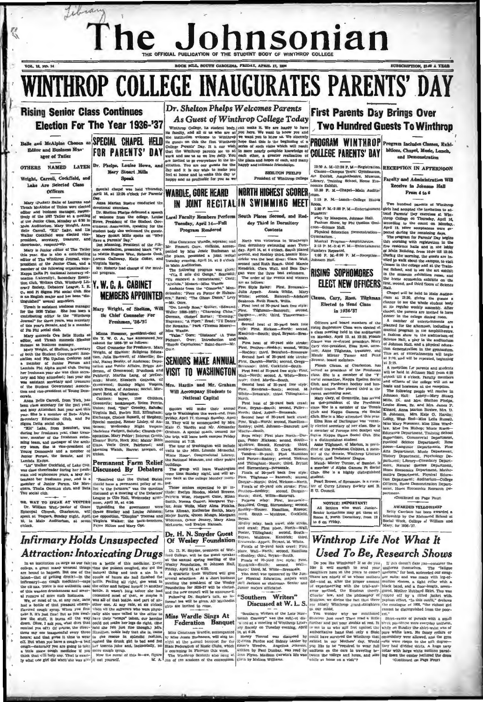## The  $\overline{\mathbf{h}}$ nsonian

**VOL. 11, NO. 24** 

## WINTHROP COLLEGE INAUGURATES PARENTS' DAY Dr. Shelton Phelps Welcomes Parents

As Guest of Winthrop College Today

Contests

rale.<br>Pirst heat of 20-yard side

orth.<br>First heat of 20-yard back

nd, Dorgan

serg; second,

 $\overline{R}$ 

Wall,

ers.

**Rising Senior Class Continues** Election For The Year 1936-'37

Tibra

Balle and MeAlpine Chosen as SPECIAL CHAPEL HELD

**Editor** and Eusiness Manager of Tatler

Wright, Carroll, Cockfield, and Lake Are Selected Class Officers

 $\begin{tabular}{l|c|c|c|c|c} \hline & \multicolumn{3}{c}{\textbf{A237}} & \multicolumn{3}{c}{\textbf{A397}} & \multicolumn{3}{c}{\textbf{A397}} & \multicolumn{3}{c}{\textbf{A397}} & \multicolumn{3}{c}{\textbf{A397}} & \multicolumn{3}{c}{\textbf{A397}} & \multicolumn{3}{c}{\textbf{A398}} & \multicolumn{3}{c}{\textbf{A398}} & \multicolumn{3}{c}{\textbf{A398}} & \multicolumn{3}{c}{\textbf{A398}} & \multicolumn{3}{c$ Note Writers Club, Winters Date Car Program. and charge of the Society, Debattery Length, L. R. V. W. C. A. CABINET<br>Society, Debattery Length debal and She<br>Shapin major and bis been "dist. W. C. A. CABINET<br>Beglin major and is an P

tinguished' accretis tennelstra,  $\frac{1}{2}$  and  $\frac{1}{2}$  and  $\frac{1}{2}$  and  $\frac{1}{2}$  and  $\frac{1}{2}$  and  $\frac{1}{2}$  and  $\frac{1}{2}$  and  $\frac{1}{2}$  and  $\frac{1}{2}$  and  $\frac{1}{2}$  and  $\frac{1}{2}$  and  $\frac{1}{2}$  and  $\frac{1}{2}$  and  $\frac{1}{$ 

**Infirmary Holds Unsuspected** 

**FOR PARENTS' DAY** 

OTHERS NAMED LATER Dr. Phelps, Louise Howe, Mary Steart Mills Speak

> Special chapel was held Thursday<br>April 16, at 12:30 o'clock for Parents **WARDLE, GORE HEARD**

 $\sum$ 

# **MEMBERS APPOINTED**

Consideration was a security of the same of the same in the same of the same in the same of the same in the same in the same of the same in the same in the same of the same in the same in the same in the same in the same

Local Faculty Members Perform South Places Second, and Rod Tuesday, April 14-Full dey Third in Dormitory **Program Rendered** North was victorious in W Mins Constance Weardle, apprano; and | Newthy was victorious in Winkings met The Energy Mins Jensey Registers and that Agy, April 14, at 4 o'clock. South placement and the plane, presented a joint register and Roddey third

in Main Auditorium.<br>The following program was given:<br>"The following program was given:<br>"Tu maneavi a tormentarum", "Cesti;<br>"Alleluta." Mozart—Mias Wardle<br>Andanis from the "Concerto," Men-<br>delaphu: "Piece ...

Een were the three best saw and sear and winning The order of the events and winning<br>The order of the events and winning<br>are as follows:<br>Free Style Relay: Pirat, Breazeald<br>Julia Appelt. Annie White, Ma de Haban-

n." Ravel, "The Ghess Merry, (Edmund<br>"Oo, Lovely Roae," Quiter, (Edmund<br>Faller 1666–1667), "Charming Chloe,"<br>Faller 1666–1667), "Charming Chloe,"<br>berman, (Robert Eurna), "Evening", "Lill Dance<br>Ingennauk, "Park (Thomas Moor

Seniors will make their annual Presi heat of 20-yard back crawl:<br>
Irip io Washington this week-end, from North; third, Appel—Breascalc, Puller-<br>
Pridey, April 17, through Bunday, April Second heat of 20-yard botck crawl:<br>

Bryan

Of Wesley Foundation

**First Parents Day Brings Over Two Hundred Guests To Winthron** 

The first of the set of the set of the set of the set of the set of the first first function of the set of the set of the set of the set of the set of the set of the set of the set of the set of the set of the set of the **COLLEGE PARENTS' DAY** 10:00 A. M.-12:30 P. M.-Registration. RECEPTION IN AFTERNOON Gymn.<br>Mu asses—Campu<br>Exhibit, Am

**NORTH HIGHEST SCORER**  $58.85$ .<br>Chenel

ина.<br>1:15 р. м. - Lunch-Ooll IN JOINT RECITALIN SWIMMING MEET  $2:30 \times M \rightarrow 3:00 \times M$  . Entertain

lumbers:<br>| Play, by Masquem, Johnso<br>| Pashion Show, by Phi Up<br>| ron—Science Hall.<br>| Physical Education Demo

3:15 P. M.-3:45 P. M.-Fr

4:00 P. M.-6:00 P. M.-Re

## **RISING SOPHOMORES ELECT NEW OFFICERS**

### Cary, Ross, Tilgl  $\mathbf{c}$ Elected to Head Class in 1936-'37

Free Euge Estaty. Prati, Brancelle-Adelaide<br>Julia Appelt. Annie White. Mary Newsley. White:<br>Seabrook. Ruth Roard, Willia.<br>Seabrook. Ruth Roard, Willia.<br>Pirst inst d'20-parl luck free style.<br>Pirst. Thighnan--Bancroft; secon Officers and board members of the risting Sophomore Class were elected at a class meeting held in the auditorium rtyle: First, Hickson-Rorth; second<br>Kenurick-South; third, Bryant-Brea on Monday, April 13, at 12:30, Flossle Clas ss was re-elected president. Mary<br>y vice-president, Elisa Ross, secre-Cary vice-pr

Pira heat of 20-yard side at<br>orker. Piral, Periodic Stroker, 1976<br>1976; Hird, Deatlord-Breazele Heather, 2002<br>1987; Hird, Deather, 2004<br>1987; Hird, Ostphin, 2004<br>Piral, Deather, 2004<br>Piral, Deather, 2004<br>Piral, Deather, 20 lary, Anne Tilehman, treasurer, and  $M<sub>h</sub>$ Turner and Pearl Browne, board members.

Samon Contact Carrier and Technical Carrier and Carrier and Carrier and Carrier and Carrier and Carrier and Carrier and Carrier and Carrier and Carrier and Carrier and Carrier and Carrier and Carrier and Carrier and Carri

a member of Forceps and Scalpel and<br>Signia Kappa Stama Scalpel and<br>Signia Kappa Stama Scalul Club. She<br>is a distinguished student

Anne Tilehman, of Marion, is presifent of the Preshman Cabinet, a member of the B nate, Winthrop Literary lociety, and Debaters' League.<br>Maude Minter Turner, of Sumter, is

runngnast- North; trurd, Bryan<br>Sternenberg---Breazeale.<br>als of 20-yard back free style<br>"Tilghman -- Banerofi; second a member of Alpha Gamma Pi Social<br>Club. She is a highly distinguished Morth.

Finals of 20-yard side stroke: First S. U. Council partme

## NOTICE! IMPORTANT!

 $AII$ 

All Seniors who want Junior-Senior invitations may get them at Room 5, North Dormitory, from 12 to 6 on Friday. Junior-

PROGRAM WINTHROP Program Includes Class s. Exhi. bitions, Chapel, Music, Lunch, and Demonstration

> seum. Faculty and Administration Will Receive in Johnson Hall

From 4 to 6

The bundled particle and the same of Winkher<br>grids had accepted the invitation to attract a coordinate and two<br>interpret in the count on the coordinate and two coordinates are the<br>same of Particle and Apple 11. More accept

Hall. Conseil will be held in Main Audito-<br>Compare will be held in Main Audito-<br>Channe to see the whole student body<br>channe to see the whole student body<br>channe to be the weakly assembly. After<br>channel channel channel cha

A number of entertainments and point of the attention point of the according musical program in the auditorium of Scheme Hall, and a physical education of Johnson Hall, and a physical education in the grammatic line of Jo at 2:30, and will be repe

a 3:10.<br> The hold in Advance to parents and singlents of the hold in Advance Rail from 4:00 of Solar Columb II from 4:00 and officers of the columb columb in the singlent of the following popular and bonds and housteness Lobby, West End-Miss Lein Russell, alle Russell, alle Nav Miss Elias Ward-Jaw, Miss Elias Ward-Jaw, Miss Elias Ward-Education Department, Training Gehoal<br>Education Department, Training Gehoal<br>Guperiustr. Connucreal Departm a member of Alpha Gannea Pi Social Reini, Natural Summer Department, Mathomas Chan She, She, a highly distinguished Hume Economics Department, Mathomas Pennetteent.<br>
Ethis Penn I Society and the Penn Compartment, Andre Pe

en...<br>(Continued on Page Pour)

## **AWARDED FELLOWSHIP**

AWARDED FELLOWSHIP<br>
Betty Carrison has been awarded a<br>
fellowship by the Richmond School of<br>
Social Work, College of William and<br>
Mary, for 1936-'37.

## Winthrop Life Not What It **Used To Be, Research Shows**

For the summer internet particular contributions are equivalent into the summer in the second of the summer system and the second of the second of the second of the second of the second of the second of the second of the

Medicy relay, back crawl, side stroks<br>and crawl, side stroks and crawler. First place, North-Wall Byran, Muddrew, Echardrew, Echardrew (Euclide Stroke First)<br>place, Wall Pracewale Stroke result First place (National place **Altraction:** Into **Xicourism** Consequence of the space of the space of the space of the space of the space of the space of the space of the space of the space of the space of the space of the space of the space of the sp

First, Tilghman - Baneron<br>Dangar-North; third, Hicks Frothro-Roddey; second, Da Pajama relay: First, Breazenker Roddey-Houser. Hamilton, Kneece;<br>third. South - Muldrow, Cockfield.

Dr. H. N. Snyder Guest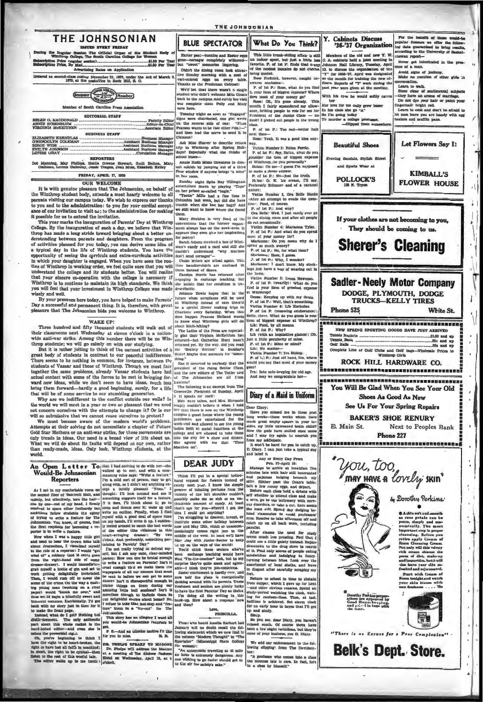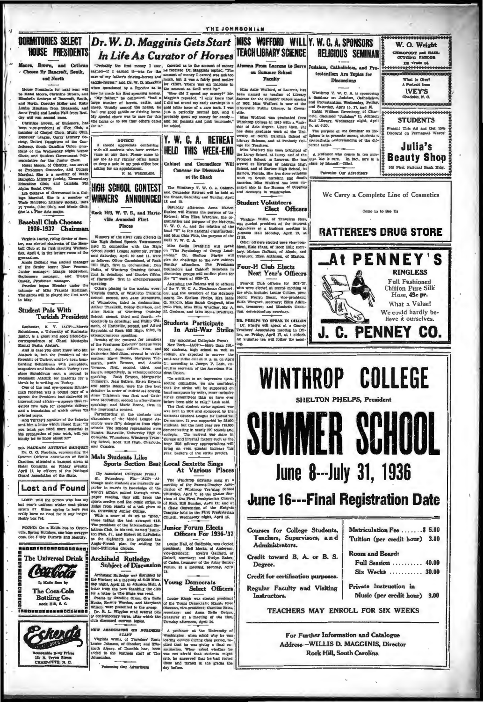### THE JOHNSONIAN **DORMITORIES SELECT** Dr. W. D. Magginis Gets Start MISS WOFFORD WILLY. W. C. A. SPONSORS W. O. Wright **HOUSE PRESIDENTS TEACH LIBRARY SCIENCE RELIGIOUS SEMINAR** ELOPODY and HAID In Life As Curator of Horses

rc, Brown, and Cothra - Chosen By Bancroft, South. and North

 $\begin{tabular}{p{0.85cm}} \textbf{Kouee Predents for next year will} \\ \textbf{be Banal Moore, Christaine Brown, and Blameth Cohrame of Bach, South and North. Dorothy Miller and Ruby Louste Fab, had a Louise Ball from Rodday will run second races, \\ \end{tabular}$ 

dey will run second ruese.<br>
Christies incomm, of Sycianore, had<br>
been vide-precident of Glee Olub, a<br>
member of Capal Choi.<br>
Matic Club is the Choi.<br>
Debtors' League, Ourry Literary So-<br>
dely, Ulled Daughters of the Con-<br>

intative for the Junior Class.<br>Essel Moore, of Cherier, has served<br>Presiuman Counselor, and College<br>rahal. She is a membar of Wade<br>mpton Lilerary Society, Elementary<br>nadion Chin, and Lambda Phi<br>ha Social Chh. Husel Mo  $\overline{P}$ 

Education Crons, and Lamous Philadelphia Social Club.<br>
Lib Cothran of Greenwood is a College Marshal. She is a member of<br>
We assume that the start of the start of the Richard Club.<br>
Fi This and Disk Club, and Music Club. de Clut : Theta<sub>r</sub> Glee Clun, and<br>he la a Pine Arts major.

## **Baseball Club Chooses** 1936-1937 Chairman

DK. NAUDARN ATTENDE BANQUET<br>Reference Officers Association of South<br>Reference Officers Association of South<br>Carolina, attended a banquet given at<br>Ricel Columbia on Friday stenting<br>April 11, by officers of the National<br>Guar

**Lost and Found** LOST: Will the person who has my

hat year's uniform winter coat please<br>return it? Since apring ta here you<br>really have no need for it any longer.

POUND: On a Hollis bus to Green ring Holidays, one blue swagge<br>re Diddy Burnett and identify.





"Probably the first money I ever Que

carved—if I carrate il—was for the be received, Dr. Magginia replied, The carved-if I carrate il—was for the be received, Dr. Magginia replied, The and too entropy and the carved method of the state of the state of the st



WINNERS ANNOUNCED Rock Hill, W. T. S., and Harts-

ville Awarded First Places

**Baseball Club Chooses** ville **Press** interests where the street out of the street out of the street out of the street out of the street out of the street out of the street out of the street out of the street out of the s

Male Students Like Sports Section Best Local Sextette Sings

**Sports Section Best Local Section At Various Places**<br>
(B), Anselection Capture Places (B), Anselection (Figure Press).<br>
(B), Anselection Capture (B) and the press of the Parenther, and the press in hour and the press in

## **Subject of Discussion**

of Cade<br>Por:

i3.

Archibald Rutledge was dis ed by And Determines at a meeting at 6:30 Mone<br>the Pierians at a meeting at 6:30 Mone<br>kiter from the poet thanking the club<br>kiter from the poet thanking the club<br>for a letter to The State was read. ms by Caroline Crum, Ora Eelle  $\mathbb{R}$ 

Posma by Caroline Crues, Orn Eolie [ Louise Etup, was detected predicts and Maryland of the Found Denocrats; Mande Rose Direct, The Press (assumed to the group). Classron, vie-president; Caroline Etips, D. R. R. L. Wiggins

NEW ASSOCIATES ON BUSINESS<br>
Wingthis Willies (TAPF)<br>
Virginia Willies (Tapelers' Test);<br>
Louise Johnson, of Chesker; and Ethers<br>
about Algary, of Chonsids have, been<br>
redded to the business riaff of The<br>
Johnsonian.

nime Our Advert

i as to the<br>ed. Dr. Mag

Convene for Discu at the Shack

Mias Anile Wofford, of Leurens, has<br>been named as teacher of Library<br>Science for the Summer School session<br>of 1936, Miss Wofford is now at the<br>Orceaville Public Library, in Green-

wille.<br>
Miss Wolford was graduated from<br>
Miss Wolf and the Winder Winder of Arts degree. Lince then, she<br>has done graduate work at the University of North Garolina School of<br>
versity of North Garolina School of

a Prom Laurens to Serve

on Summer School

Facalty

Judaism, Catholicism, and Pro-

testantism Are Topics for

Winthrop Y. W. C. A. is sponsoring<br>a Seminar on Judaism, Catholicism, and Protestantism Wednesday, Priday,<br>and Saturday, April 19, 17, and 8.<br>Rabbi William Greenburg, of Char-<br>lotte, discussed "Judaism" in Johnson.<br>15-11 Y

day night, Apri

We Carry a Complete Line of Cosmetics

Come in to Bee Us

**RATTEREE'S DRUG STORE** 

At PENNEY'S

**RINGI ESS** 

**Full Fashioned** Chiffon Pure Silk Hose, 49c pr. What a Value! We could hardly be-

lieve it ourselves. **PENNEY CO.** 

lotte, discussed "Ju Hall Library, Wedn<br>15, at 6:30.

The purpose of the Semin

Discansion

131 Trade SL<br>00000000000

What to Cive?  $\sqrt{2}$ 

**IVEY'S** 

**STUDENTS** 

Present This Ad and Get 10%<br>Discount on Permansat Waves!

Julia's

**Beauty Shon** 

909 Pirst National Bank Bldg.

an done gramma. and it Peaks Corollans School (control and the set of the set of the set of the set of the set of the set of the set of the set of the set of the set of the set of the set of the set of the set of the set

The Winthrop T. W. C. A. Gabinel<br>and Counselor Retreat will be held at<br>the Shack, Saturday and Sunday, April<br>18 and 19. **Student Volunteers** 

## Elect Officers

to and iv.<br>Saturday afternoon Anna Marioz<br>Busbee will discuss the purpose of the<br>Retreat; Miss Eliza Wardlaw, the or- $\sim_{\rm 0.944}$  will<br>is, of Travelers Rest, was elected president of the Student Volunteers at a business meeting in J0:<br>hnaon Hall Monday, April 13, at 12:30. Virginia Willia, of Travelers<br>ras slocted president of the St stations and purpose of the National gamination and purpose of the National Y. W. O. A., and the relation of the local  $\mathbb{R}^m$  to the national organization; and Miss Chio Pink, the purpose of the locid T. W. O. A. ez offi ou

Marc Discots elected were vice-president, Elale Plant, of Rock Hill; geene tary, Miriam DuRant, of Alcolu, and lu, and Four-H Club Elects

**Next Year's Officers** 

Pour-H Club officers for 1805-37, who were elected at recent methy of the club, heliodic Louise Collain, press, identity, the signal identity. Teaching recently in Euclidean State and Richard steps and Richard State and R

DR. PHELPS TO SPEAK IN DILLON Dr. Phelps will speak at a County<br>Teachers' Association meeting in Dil-<br>Ion, on Priday, April 17, at 4 o'clock.<br>An alumnas lea will follow the meet-



**Rock Hill, South Carolina** 

C.